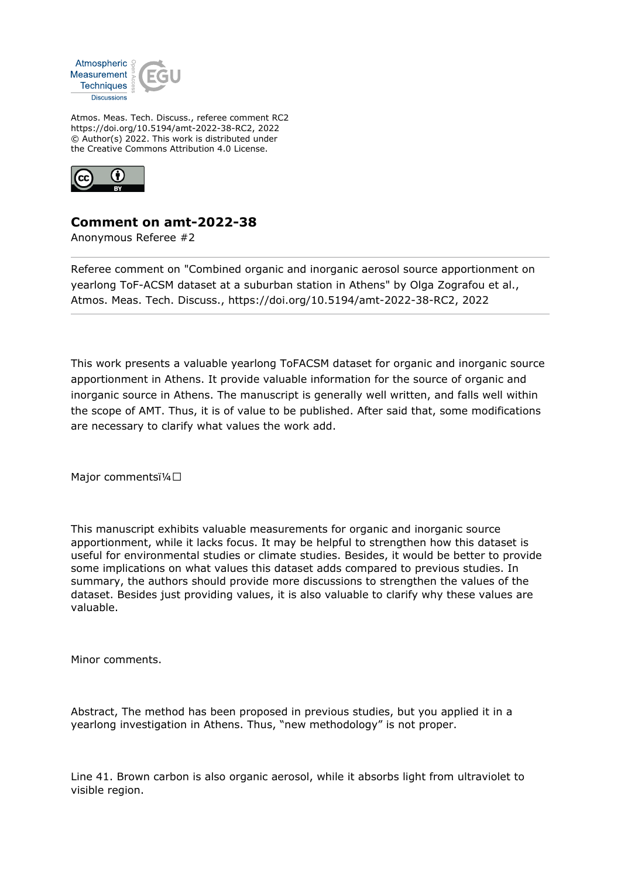

Atmos. Meas. Tech. Discuss., referee comment RC2 https://doi.org/10.5194/amt-2022-38-RC2, 2022 © Author(s) 2022. This work is distributed under the Creative Commons Attribution 4.0 License.



## **Comment on amt-2022-38**

Anonymous Referee #2

Referee comment on "Combined organic and inorganic aerosol source apportionment on yearlong ToF-ACSM dataset at a suburban station in Athens" by Olga Zografou et al., Atmos. Meas. Tech. Discuss., https://doi.org/10.5194/amt-2022-38-RC2, 2022

This work presents a valuable yearlong ToFACSM dataset for organic and inorganic source apportionment in Athens. It provide valuable information for the source of organic and inorganic source in Athens. The manuscript is generally well written, and falls well within the scope of AMT. Thus, it is of value to be published. After said that, some modifications are necessary to clarify what values the work add.

Major commentsï¼□

This manuscript exhibits valuable measurements for organic and inorganic source apportionment, while it lacks focus. It may be helpful to strengthen how this dataset is useful for environmental studies or climate studies. Besides, it would be better to provide some implications on what values this dataset adds compared to previous studies. In summary, the authors should provide more discussions to strengthen the values of the dataset. Besides just providing values, it is also valuable to clarify why these values are valuable.

Minor comments.

Abstract, The method has been proposed in previous studies, but you applied it in a yearlong investigation in Athens. Thus, "new methodology" is not proper.

Line 41. Brown carbon is also organic aerosol, while it absorbs light from ultraviolet to visible region.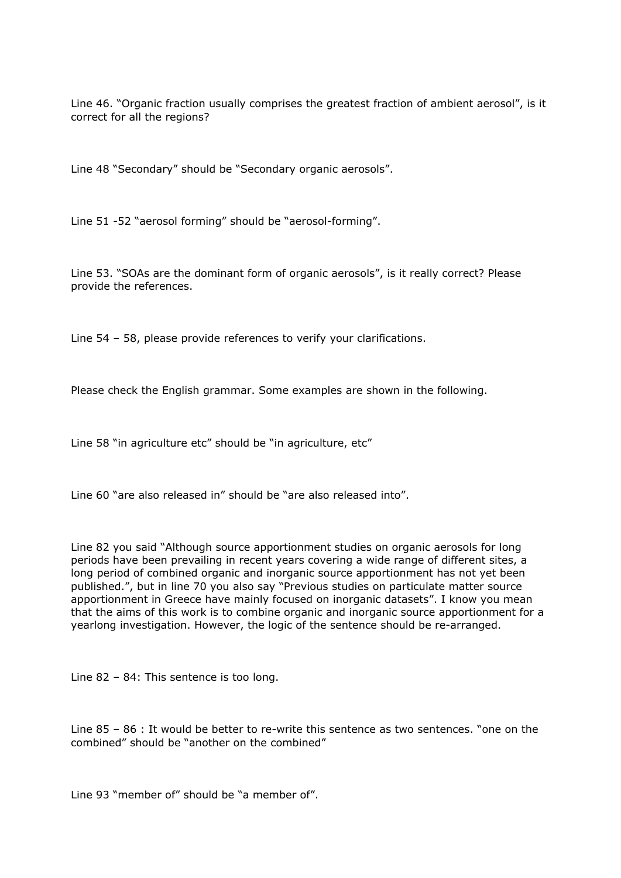Line 46. "Organic fraction usually comprises the greatest fraction of ambient aerosol", is it correct for all the regions?

Line 48 "Secondary" should be "Secondary organic aerosols".

Line 51 -52 "aerosol forming" should be "aerosol-forming".

Line 53. "SOAs are the dominant form of organic aerosols", is it really correct? Please provide the references.

Line 54 – 58, please provide references to verify your clarifications.

Please check the English grammar. Some examples are shown in the following.

Line 58 "in agriculture etc" should be "in agriculture, etc"

Line 60 "are also released in" should be "are also released into".

Line 82 you said "Although source apportionment studies on organic aerosols for long periods have been prevailing in recent years covering a wide range of different sites, a long period of combined organic and inorganic source apportionment has not yet been published.", but in line 70 you also say "Previous studies on particulate matter source apportionment in Greece have mainly focused on inorganic datasets". I know you mean that the aims of this work is to combine organic and inorganic source apportionment for a yearlong investigation. However, the logic of the sentence should be re-arranged.

Line 82 – 84: This sentence is too long.

Line 85 – 86 : It would be better to re-write this sentence as two sentences. "one on the combined" should be "another on the combined"

Line 93 "member of" should be "a member of".